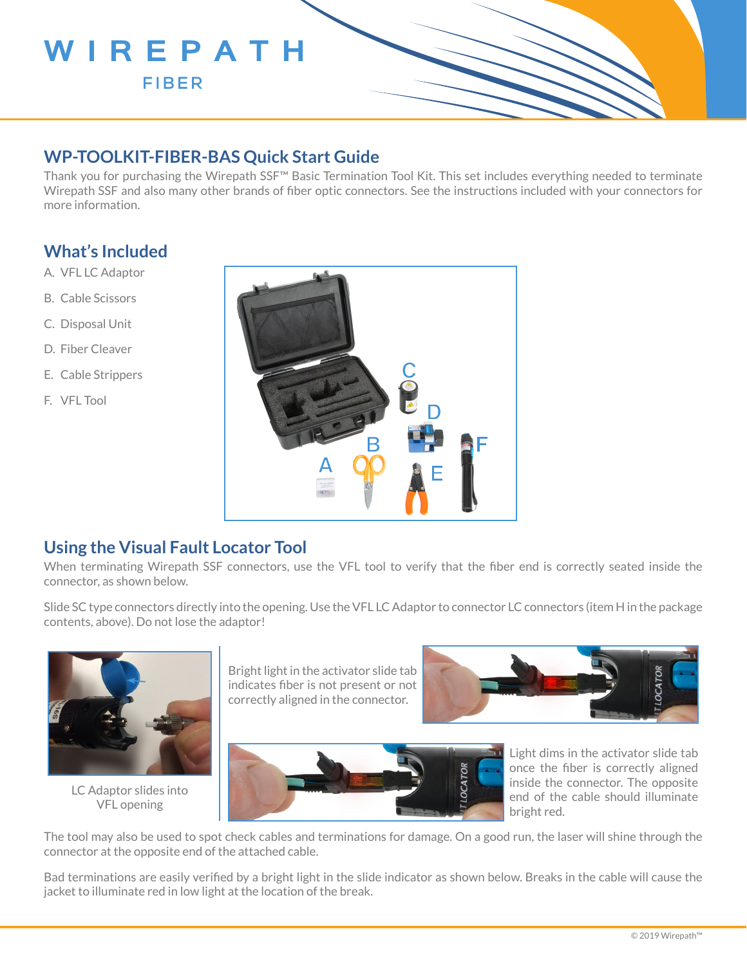

## **WP-TOOLKIT-FIBER-BAS Quick Start Guide**

Thank you for purchasing the Wirepath SSF™ Basic Termination Tool Kit. This set includes everything needed to terminate Wirepath SSF and also many other brands of fiber optic connectors. See the instructions included with your connectors for more information.

## **What's Included**

- A. VFL LC Adaptor
- B. Cable Scissors
- C. Disposal Unit
- D. Fiber Cleaver
- E. Cable Strippers
- F. VFL Tool



### **Using the Visual Fault Locator Tool**

When terminating Wirepath SSF connectors, use the VFL tool to verify that the fiber end is correctly seated inside the connector, as shown below.

Slide SC type connectors directly into the opening. Use the VFL LC Adaptor to connector LC connectors (item H in the package contents, above). Do not lose the adaptor!



LC Adaptor slides into VFL opening

Bright light in the activator slide tab indicates fiber is not present or not correctly aligned in the connector.





Light dims in the activator slide tab once the fiber is correctly aligned inside the connector. The opposite end of the cable should illuminate bright red.

The tool may also be used to spot check cables and terminations for damage. On a good run, the laser will shine through the connector at the opposite end of the attached cable.

Bad terminations are easily verified by a bright light in the slide indicator as shown below. Breaks in the cable will cause the jacket to illuminate red in low light at the location of the break.